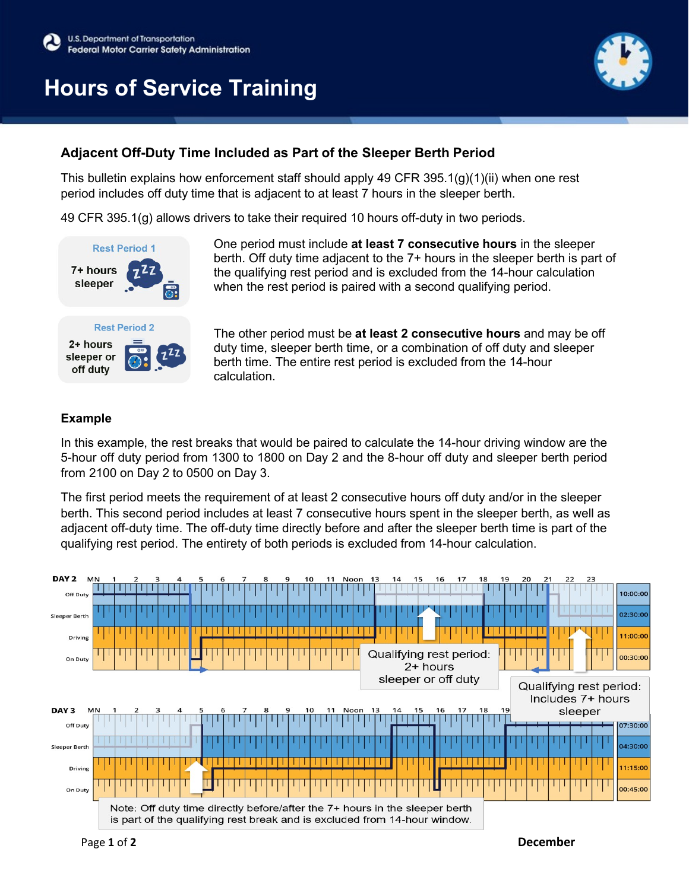# **Hours of Service Training**



### **Adjacent Off-Duty Time Included as Part of the Sleeper Berth Period**

This bulletin explains how enforcement staff should apply 49 CFR 395.1(g)(1)(ii) when one rest period includes off duty time that is adjacent to at least 7 hours in the sleeper berth.

49 CFR 395.1(g) allows drivers to take their required 10 hours off-duty in two periods.



One period must include **at least 7 consecutive hours** in the sleeper berth. Off duty time adjacent to the 7+ hours in the sleeper berth is part of the qualifying rest period and is excluded from the 14-hour calculation when the rest period is paired with a second qualifying period.

The other period must be **at least 2 consecutive hours** and may be off duty time, sleeper berth time, or a combination of off duty and sleeper berth time. The entire rest period is excluded from the 14-hour calculation.

### **Example**

In this example, the rest breaks that would be paired to calculate the 14-hour driving window are the 5-hour off duty period from 1300 to 1800 on Day 2 and the 8-hour off duty and sleeper berth period from 2100 on Day 2 to 0500 on Day 3.

The first period meets the requirement of at least 2 consecutive hours off duty and/or in the sleeper berth. This second period includes at least 7 consecutive hours spent in the sleeper berth, as well as adjacent off-duty time. The off-duty time directly before and after the sleeper berth time is part of the qualifying rest period. The entirety of both periods is excluded from 14-hour calculation.